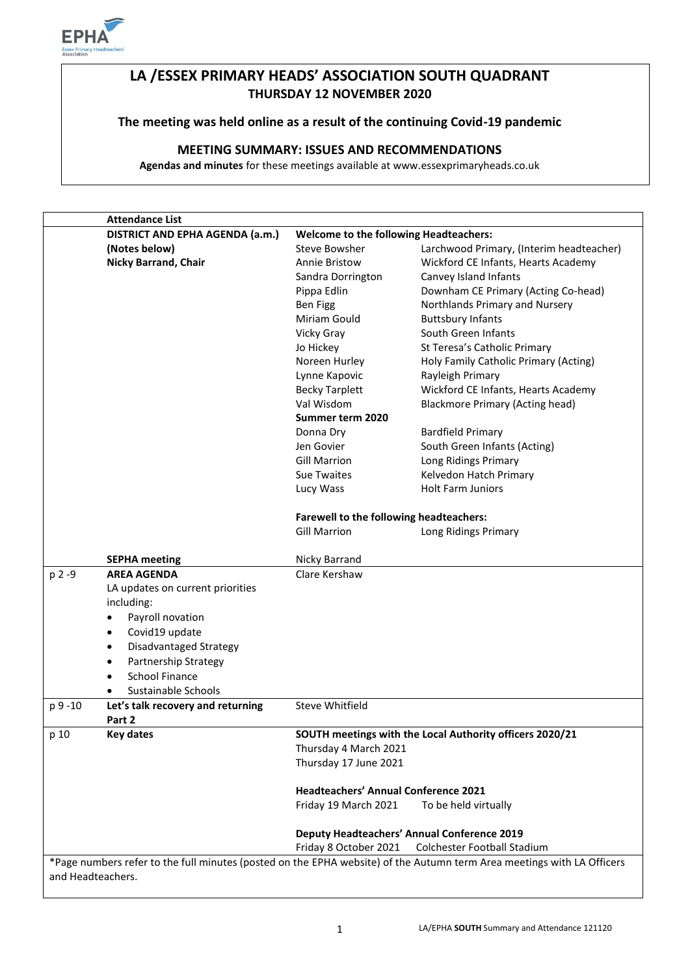

# **LA /ESSEX PRIMARY HEADS' ASSOCIATION SOUTH QUADRANT THURSDAY 12 NOVEMBER 2020**

**The meeting was held online as a result of the continuing Covid-19 pandemic**

# **MEETING SUMMARY: ISSUES AND RECOMMENDATIONS**

**Agendas and minutes** for these meetings available at www.essexprimaryheads.co.uk

|          | <b>Attendance List</b>                                                           |                                                                                                                      |                                        |  |
|----------|----------------------------------------------------------------------------------|----------------------------------------------------------------------------------------------------------------------|----------------------------------------|--|
|          | DISTRICT AND EPHA AGENDA (a.m.)<br><b>Welcome to the following Headteachers:</b> |                                                                                                                      |                                        |  |
|          | (Notes below)                                                                    | <b>Steve Bowsher</b><br>Larchwood Primary, (Interim headteacher)                                                     |                                        |  |
|          | <b>Nicky Barrand, Chair</b>                                                      | Annie Bristow                                                                                                        | Wickford CE Infants, Hearts Academy    |  |
|          |                                                                                  | Sandra Dorrington                                                                                                    | Canvey Island Infants                  |  |
|          |                                                                                  | Pippa Edlin                                                                                                          | Downham CE Primary (Acting Co-head)    |  |
|          |                                                                                  | <b>Ben Figg</b>                                                                                                      | Northlands Primary and Nursery         |  |
|          |                                                                                  | Miriam Gould                                                                                                         | <b>Buttsbury Infants</b>               |  |
|          |                                                                                  | Vicky Gray                                                                                                           | South Green Infants                    |  |
|          |                                                                                  | Jo Hickey                                                                                                            | St Teresa's Catholic Primary           |  |
|          |                                                                                  | Noreen Hurley                                                                                                        | Holy Family Catholic Primary (Acting)  |  |
|          |                                                                                  | Lynne Kapovic                                                                                                        | Rayleigh Primary                       |  |
|          |                                                                                  | <b>Becky Tarplett</b>                                                                                                | Wickford CE Infants, Hearts Academy    |  |
|          |                                                                                  | Val Wisdom                                                                                                           | <b>Blackmore Primary (Acting head)</b> |  |
|          |                                                                                  | Summer term 2020                                                                                                     |                                        |  |
|          |                                                                                  | Donna Dry                                                                                                            | <b>Bardfield Primary</b>               |  |
|          |                                                                                  | Jen Govier                                                                                                           | South Green Infants (Acting)           |  |
|          |                                                                                  | <b>Gill Marrion</b>                                                                                                  | Long Ridings Primary                   |  |
|          |                                                                                  | <b>Sue Twaites</b>                                                                                                   | Kelvedon Hatch Primary                 |  |
|          |                                                                                  | Lucy Wass                                                                                                            | <b>Holt Farm Juniors</b>               |  |
|          |                                                                                  |                                                                                                                      |                                        |  |
|          |                                                                                  | Farewell to the following headteachers:                                                                              |                                        |  |
|          |                                                                                  | <b>Gill Marrion</b>                                                                                                  | Long Ridings Primary                   |  |
|          |                                                                                  |                                                                                                                      |                                        |  |
|          | <b>SEPHA meeting</b>                                                             | Nicky Barrand                                                                                                        |                                        |  |
| p 2 -9   | <b>AREA AGENDA</b>                                                               | Clare Kershaw                                                                                                        |                                        |  |
|          | LA updates on current priorities                                                 |                                                                                                                      |                                        |  |
|          | including:                                                                       |                                                                                                                      |                                        |  |
|          | Payroll novation<br>$\bullet$                                                    |                                                                                                                      |                                        |  |
|          | Covid19 update<br>٠                                                              |                                                                                                                      |                                        |  |
|          | Disadvantaged Strategy<br>$\bullet$                                              |                                                                                                                      |                                        |  |
|          | <b>Partnership Strategy</b><br>$\bullet$                                         |                                                                                                                      |                                        |  |
|          | <b>School Finance</b>                                                            |                                                                                                                      |                                        |  |
|          | Sustainable Schools<br>$\bullet$                                                 |                                                                                                                      |                                        |  |
| p 9 - 10 | Let's talk recovery and returning                                                | Steve Whitfield                                                                                                      |                                        |  |
|          | Part 2                                                                           |                                                                                                                      |                                        |  |
| p 10     | <b>Key dates</b>                                                                 | SOUTH meetings with the Local Authority officers 2020/21                                                             |                                        |  |
|          |                                                                                  | Thursday 4 March 2021                                                                                                |                                        |  |
|          |                                                                                  | Thursday 17 June 2021<br><b>Headteachers' Annual Conference 2021</b><br>Friday 19 March 2021<br>To be held virtually |                                        |  |
|          |                                                                                  |                                                                                                                      |                                        |  |
|          |                                                                                  |                                                                                                                      |                                        |  |
|          |                                                                                  |                                                                                                                      |                                        |  |
|          |                                                                                  |                                                                                                                      |                                        |  |
|          |                                                                                  | <b>Deputy Headteachers' Annual Conference 2019</b>                                                                   |                                        |  |
|          |                                                                                  | Friday 8 October 2021<br>Colchester Football Stadium                                                                 |                                        |  |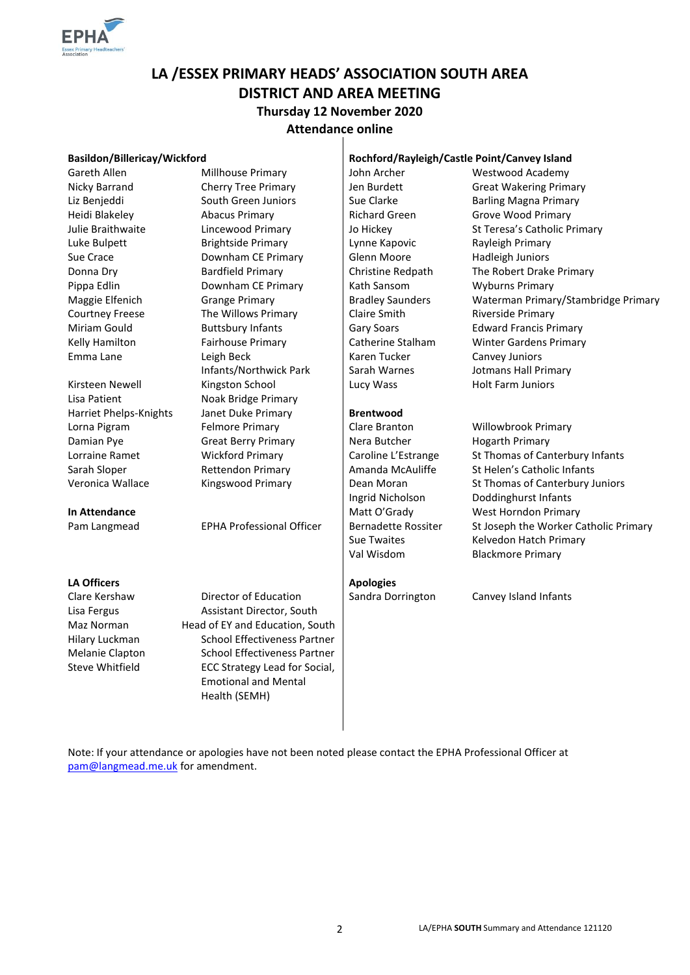

# **LA /ESSEX PRIMARY HEADS' ASSOCIATION SOUTH AREA DISTRICT AND AREA MEETING Thursday 12 November 2020 Attendance online**

### **Basildon/Billericay/Wickford Rochford/Rayleigh/Castle Point/Canvey Island**

Emma Lane Leigh Beck

Lisa Patient **Noak Bridge Primary** 

### **LA Officers Apologies Apologies**

Liz Benjeddi South Green Juniors Sue Clarke Barling Magna Primary Heidi Blakeley Abacus Primary Richard Green Grove Wood Primary Luke Bulpett **Brightside Primary** Lynne Kapovic **Rayleigh Primary** Sue Crace **Sue Crace** Downham CE Primary Glenn Moore Hadleigh Juniors Pippa Edlin **Downham CE Primary** Kath Sansom Wyburns Primary Courtney Freese The Willows Primary Claire Smith Riverside Primary Miriam Gould **Buttsbury Infants** Gary Soars Edward Francis Primary Infants/Northwick Park Kirsteen Newell **Kingston School** Lucy Wass Holt Farm Juniors Harriet Phelps-Knights Janet Duke Primary **Brentwood** Lorna Pigram Felmore Primary Clare Branton Willowbrook Primary Damian Pye Great Berry Primary Nera Butcher Hogarth Primary

Clare Kershaw **Director of Education** | Sandra Dorrington Canvey Island Infants Lisa Fergus **Assistant Director, South** Maz Norman Head of EY and Education, South Hilary Luckman School Effectiveness Partner Melanie Clapton School Effectiveness Partner Steve Whitfield ECC Strategy Lead for Social, Emotional and Mental Health (SEMH)

Karen Tucker Sarah Warnes

Gareth Allen **Millhouse Primary** John Archer Westwood Academy Nicky Barrand Cherry Tree Primary Jen Burdett Great Wakering Primary Julie Braithwaite **Lincewood Primary** Jo Hickey St Teresa's Catholic Primary Donna Dry Bardfield Primary Christine Redpath The Robert Drake Primary Maggie Elfenich Grange Primary **Bradley Saunders** Waterman Primary/Stambridge Primary Kelly Hamilton **Fairhouse Primary** | Catherine Stalham Winter Gardens Primary Canvey Juniors Jotmans Hall Primary

# Lorraine Ramet Wickford Primary | Caroline L'Estrange St Thomas of Canterbury Infants Sarah Sloper **Rettendon Primary** Amanda McAuliffe St Helen's Catholic Infants Veronica Wallace Kingswood Primary Dean Moran St Thomas of Canterbury Juniors Ingrid Nicholson Doddinghurst Infants **In Attendance Matt O'Grady** West Horndon Primary Pam Langmead EPHA Professional Officer | Bernadette Rossiter St Joseph the Worker Catholic Primary Sue Twaites Kelvedon Hatch Primary Val Wisdom Blackmore Primary

Note: If your attendance or apologies have not been noted please contact the EPHA Professional Officer at [pam@langmead.me.uk](mailto:pam@langmead.me.uk) for amendment.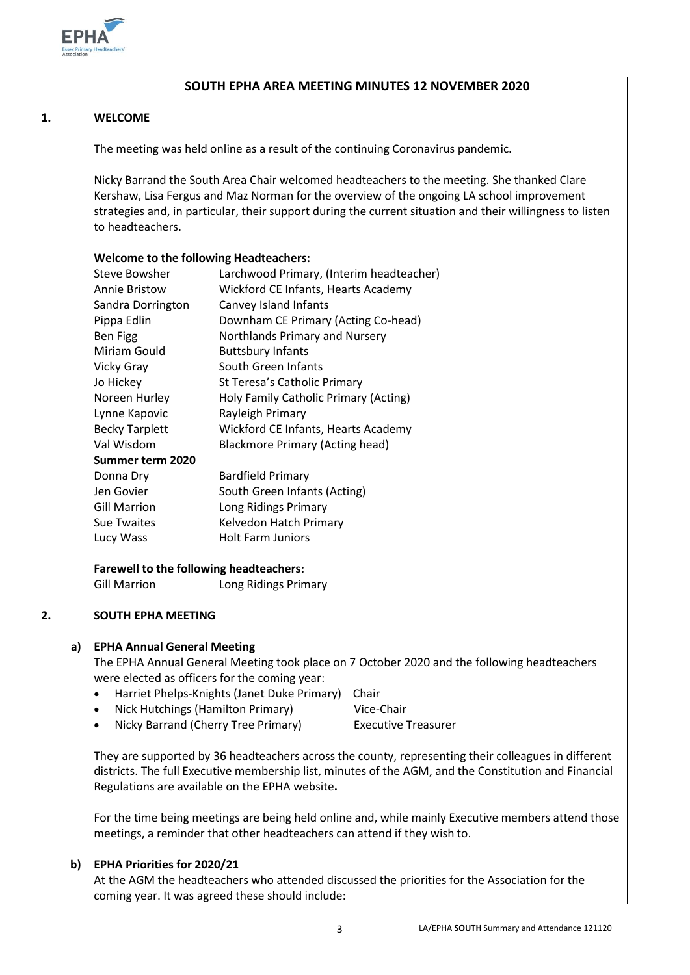

## **SOUTH EPHA AREA MEETING MINUTES 12 NOVEMBER 2020**

### **1. WELCOME**

The meeting was held online as a result of the continuing Coronavirus pandemic.

Nicky Barrand the South Area Chair welcomed headteachers to the meeting. She thanked Clare Kershaw, Lisa Fergus and Maz Norman for the overview of the ongoing LA school improvement strategies and, in particular, their support during the current situation and their willingness to listen to headteachers.

### **Welcome to the following Headteachers:**

| Larchwood Primary, (Interim headteacher) |  |
|------------------------------------------|--|
| Wickford CE Infants, Hearts Academy      |  |
| Canvey Island Infants                    |  |
| Downham CE Primary (Acting Co-head)      |  |
| Northlands Primary and Nursery           |  |
| <b>Buttsbury Infants</b>                 |  |
| South Green Infants                      |  |
| St Teresa's Catholic Primary             |  |
| Holy Family Catholic Primary (Acting)    |  |
| Rayleigh Primary                         |  |
| Wickford CE Infants, Hearts Academy      |  |
| <b>Blackmore Primary (Acting head)</b>   |  |
|                                          |  |
| <b>Bardfield Primary</b>                 |  |
| South Green Infants (Acting)             |  |
| Long Ridings Primary                     |  |
| Kelvedon Hatch Primary                   |  |
| <b>Holt Farm Juniors</b>                 |  |
|                                          |  |

## **Farewell to the following headteachers:**

Gill Marrion Long Ridings Primary

### **2. SOUTH EPHA MEETING**

### **a) EPHA Annual General Meeting**

The EPHA Annual General Meeting took place on 7 October 2020 and the following headteachers were elected as officers for the coming year:

- Harriet Phelps-Knights (Janet Duke Primary) Chair
- Nick Hutchings (Hamilton Primary) Vice-Chair
	- Nicky Barrand (Cherry Tree Primary) Executive Treasurer

They are supported by 36 headteachers across the county, representing their colleagues in different districts. The full Executive membership list, minutes of the AGM, and the Constitution and Financial Regulations are available on the EPHA website**.** 

For the time being meetings are being held online and, while mainly Executive members attend those meetings, a reminder that other headteachers can attend if they wish to.

### **b) EPHA Priorities for 2020/21**

At the AGM the headteachers who attended discussed the priorities for the Association for the coming year. It was agreed these should include: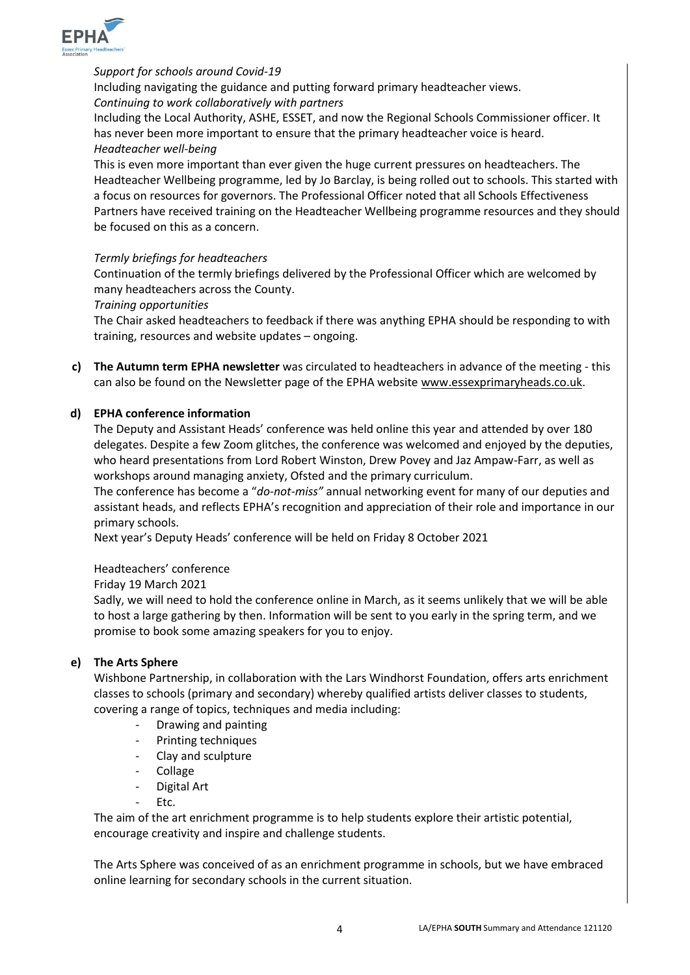

## *Support for schools around Covid-19*

Including navigating the guidance and putting forward primary headteacher views. *Continuing to work collaboratively with partners*

Including the Local Authority, ASHE, ESSET, and now the Regional Schools Commissioner officer. It has never been more important to ensure that the primary headteacher voice is heard. *Headteacher well-being* 

This is even more important than ever given the huge current pressures on headteachers. The Headteacher Wellbeing programme, led by Jo Barclay, is being rolled out to schools. This started with a focus on resources for governors. The Professional Officer noted that all Schools Effectiveness Partners have received training on the Headteacher Wellbeing programme resources and they should be focused on this as a concern.

### *Termly briefings for headteachers*

Continuation of the termly briefings delivered by the Professional Officer which are welcomed by many headteachers across the County.

### *Training opportunities*

The Chair asked headteachers to feedback if there was anything EPHA should be responding to with training, resources and website updates – ongoing.

**c) The Autumn term EPHA newsletter** was circulated to headteachers in advance of the meeting - this can also be found on the Newsletter page of the EPHA website [www.essexprimaryheads.co.uk.](http://www.essexprimaryheads.co.uk/)

### **d) EPHA conference information**

The Deputy and Assistant Heads' conference was held online this year and attended by over 180 delegates. Despite a few Zoom glitches, the conference was welcomed and enjoyed by the deputies, who heard presentations from Lord Robert Winston, Drew Povey and Jaz Ampaw-Farr, as well as workshops around managing anxiety, Ofsted and the primary curriculum.

The conference has become a "*do-not-miss"* annual networking event for many of our deputies and assistant heads, and reflects EPHA's recognition and appreciation of their role and importance in our primary schools.

Next year's Deputy Heads' conference will be held on Friday 8 October 2021

Headteachers' conference

Friday 19 March 2021

Sadly, we will need to hold the conference online in March, as it seems unlikely that we will be able to host a large gathering by then. Information will be sent to you early in the spring term, and we promise to book some amazing speakers for you to enjoy.

### **e) The Arts Sphere**

Wishbone Partnership, in collaboration with the Lars Windhorst Foundation, offers arts enrichment classes to schools (primary and secondary) whereby qualified artists deliver classes to students, covering a range of topics, techniques and media including:

- Drawing and painting
- Printing techniques
- Clay and sculpture
- **Collage**
- Digital Art
- Ftc.

The aim of the art enrichment programme is to help students explore their artistic potential, encourage creativity and inspire and challenge students.

The Arts Sphere was conceived of as an enrichment programme in schools, but we have embraced online learning for secondary schools in the current situation.